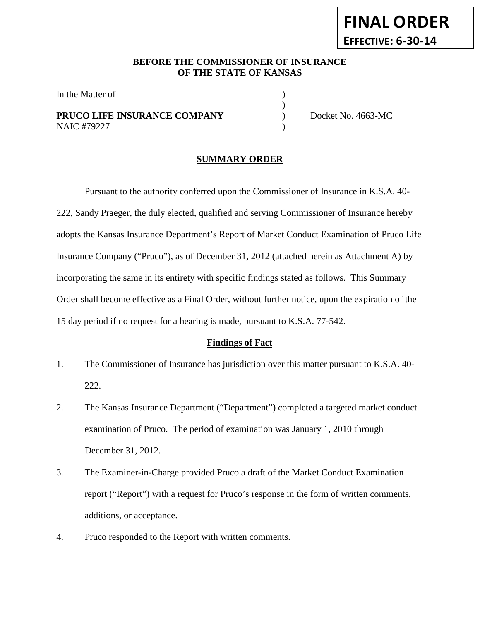### **BEFORE THE COMMISSIONER OF INSURANCE OF THE STATE OF KANSAS**

)

In the Matter of

## **PRUCO LIFE INSURANCE COMPANY** Docket No. 4663-MC NAIC #79227 (1992)

**FINAL ORDER**

**EFFECTIVE: 6-30-14**

#### **SUMMARY ORDER**

Pursuant to the authority conferred upon the Commissioner of Insurance in K.S.A. 40- 222, Sandy Praeger, the duly elected, qualified and serving Commissioner of Insurance hereby adopts the Kansas Insurance Department's Report of Market Conduct Examination of Pruco Life Insurance Company ("Pruco"), as of December 31, 2012 (attached herein as Attachment A) by incorporating the same in its entirety with specific findings stated as follows. This Summary Order shall become effective as a Final Order, without further notice, upon the expiration of the 15 day period if no request for a hearing is made, pursuant to K.S.A. 77-542.

#### **Findings of Fact**

- 1. The Commissioner of Insurance has jurisdiction over this matter pursuant to K.S.A. 40- 222.
- 2. The Kansas Insurance Department ("Department") completed a targeted market conduct examination of Pruco. The period of examination was January 1, 2010 through December 31, 2012.
- 3. The Examiner-in-Charge provided Pruco a draft of the Market Conduct Examination report ("Report") with a request for Pruco's response in the form of written comments, additions, or acceptance.
- 4. Pruco responded to the Report with written comments.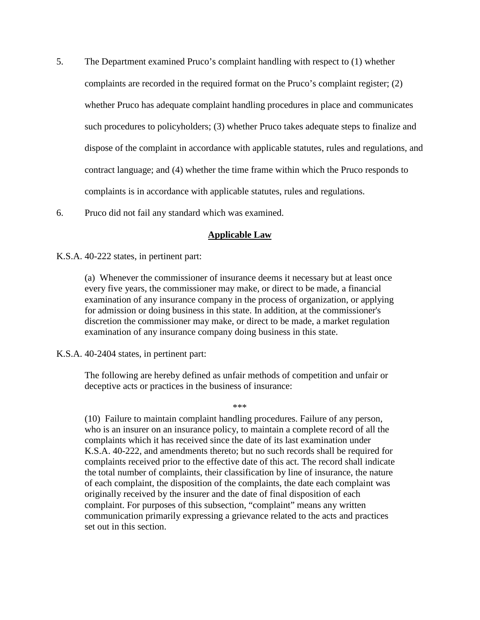- 5. The Department examined Pruco's complaint handling with respect to (1) whether complaints are recorded in the required format on the Pruco's complaint register; (2) whether Pruco has adequate complaint handling procedures in place and communicates such procedures to policyholders; (3) whether Pruco takes adequate steps to finalize and dispose of the complaint in accordance with applicable statutes, rules and regulations, and contract language; and (4) whether the time frame within which the Pruco responds to complaints is in accordance with applicable statutes, rules and regulations.
- 6. Pruco did not fail any standard which was examined.

### **Applicable Law**

K.S.A. 40-222 states, in pertinent part:

(a) Whenever the commissioner of insurance deems it necessary but at least once every five years, the commissioner may make, or direct to be made, a financial examination of any insurance company in the process of organization, or applying for admission or doing business in this state. In addition, at the commissioner's discretion the commissioner may make, or direct to be made, a market regulation examination of any insurance company doing business in this state.

K.S.A. 40-2404 states, in pertinent part:

The following are hereby defined as unfair methods of competition and unfair or deceptive acts or practices in the business of insurance:

\*\*\*

(10) Failure to maintain complaint handling procedures. Failure of any person, who is an insurer on an insurance policy, to maintain a complete record of all the complaints which it has received since the date of its last examination under K.S.A. 40-222, and amendments thereto; but no such records shall be required for complaints received prior to the effective date of this act. The record shall indicate the total number of complaints, their classification by line of insurance, the nature of each complaint, the disposition of the complaints, the date each complaint was originally received by the insurer and the date of final disposition of each complaint. For purposes of this subsection, "complaint" means any written communication primarily expressing a grievance related to the acts and practices set out in this section.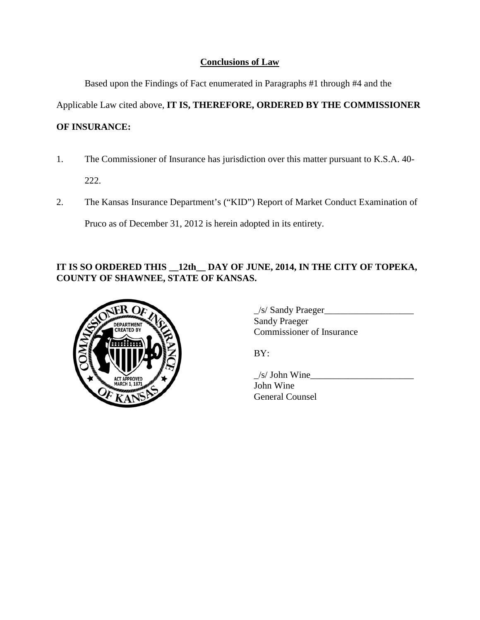# **Conclusions of Law**

Based upon the Findings of Fact enumerated in Paragraphs #1 through #4 and the

Applicable Law cited above, **IT IS, THEREFORE, ORDERED BY THE COMMISSIONER** 

# **OF INSURANCE:**

1. The Commissioner of Insurance has jurisdiction over this matter pursuant to K.S.A. 40-

222.

2. The Kansas Insurance Department's ("KID") Report of Market Conduct Examination of

Pruco as of December 31, 2012 is herein adopted in its entirety.

# **IT IS SO ORDERED THIS \_\_12th\_\_ DAY OF JUNE, 2014, IN THE CITY OF TOPEKA, COUNTY OF SHAWNEE, STATE OF KANSAS.**



| /s/ Sandy Praeger                |  |
|----------------------------------|--|
| Sandy Praeger                    |  |
| <b>Commissioner of Insurance</b> |  |

BY:

 $/s/$  John Wine John Wine General Counsel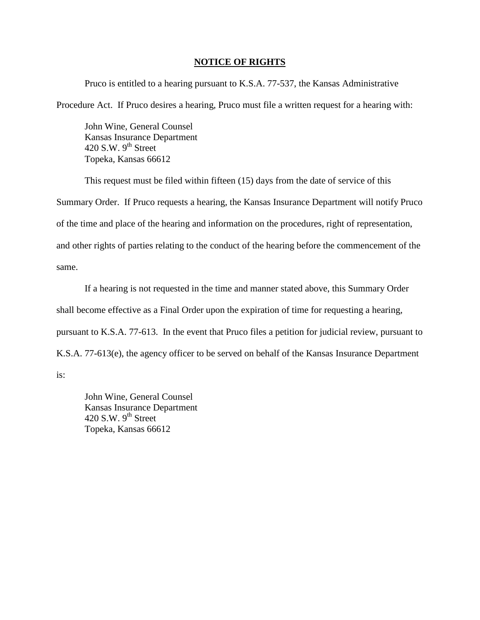#### **NOTICE OF RIGHTS**

Pruco is entitled to a hearing pursuant to K.S.A. 77-537, the Kansas Administrative Procedure Act. If Pruco desires a hearing, Pruco must file a written request for a hearing with:

John Wine, General Counsel Kansas Insurance Department 420 S.W.  $9<sup>th</sup>$  Street Topeka, Kansas 66612

This request must be filed within fifteen (15) days from the date of service of this Summary Order. If Pruco requests a hearing, the Kansas Insurance Department will notify Pruco of the time and place of the hearing and information on the procedures, right of representation, and other rights of parties relating to the conduct of the hearing before the commencement of the same.

If a hearing is not requested in the time and manner stated above, this Summary Order shall become effective as a Final Order upon the expiration of time for requesting a hearing, pursuant to K.S.A. 77-613. In the event that Pruco files a petition for judicial review, pursuant to K.S.A. 77-613(e), the agency officer to be served on behalf of the Kansas Insurance Department

is:

John Wine, General Counsel Kansas Insurance Department 420 S.W.  $9^{th}$  Street Topeka, Kansas 66612